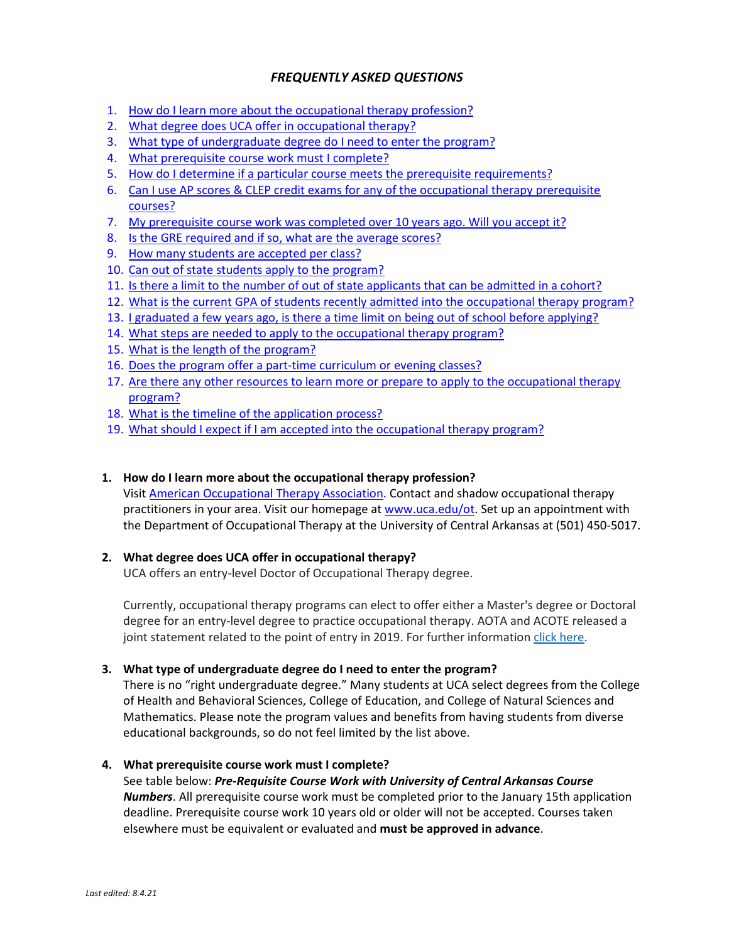# *FREQUENTLY ASKED QUESTIONS*

- 1. How do I learn more about the occupational therapy profession?
- 2. What degree does UCA offer in occupational therapy?
- 3. What type of undergraduate degree do I need to enter the program?
- 4. What prerequisite course work must I complete?
- 5. How do I determine if a particular course meets the prerequisite requirements?
- 6. Can I use AP scores & CLEP credit exams for any of the occupational therapy prerequisite courses?
- 7. My prerequisite course work was completed over 10 years ago. Will you accept it?
- 8. Is the GRE required and if so, what are the average scores?
- 9. How many students are accepted per class?
- 10. Can out of state students apply to the program?
- 11. Is there a limit to the number of out of state applicants that can be admitted in a cohort?
- 12. What is the current GPA of students recently admitted into the occupational therapy program?
- 13. I graduated a few years ago, is there a time limit on being out of school before applying?
- 14. What steps are needed to apply to the occupational therapy program?
- 15. What is the length of the program?
- 16. Does the program offer a part-time curriculum or evening classes?
- 17. Are there any other resources to learn more or prepare to apply to the occupational therapy program?
- 18. What is the timeline of the application process?
- 19. What should I expect if I am accepted into the occupational therapy program?

# **1. How do I learn more about the occupational therapy profession?**

Visit American Occupational Therapy Association. Contact and shadow occupational therapy practitioners in your area. Visit our homepage at www.uca.edu/ot. Set up an appointment with the Department of Occupational Therapy at the University of Central Arkansas at (501) 450-5017.

# **2. What degree does UCA offer in occupational therapy?**

UCA offers an entry-level Doctor of Occupational Therapy degree.

Currently, occupational therapy programs can elect to offer either a Master's degree or Doctoral degree for an entry-level degree to practice occupational therapy. AOTA and ACOTE released a joint statement related to the point of entry in 2019. For further information click here.

# **3. What type of undergraduate degree do I need to enter the program?**

There is no "right undergraduate degree." Many students at UCA select degrees from the College of Health and Behavioral Sciences, College of Education, and College of Natural Sciences and Mathematics. Please note the program values and benefits from having students from diverse educational backgrounds, so do not feel limited by the list above.

# **4. What prerequisite course work must I complete?**

# See table below: *Pre-Requisite Course Work with University of Central Arkansas Course*

*Numbers*. All prerequisite course work must be completed prior to the January 15th application deadline. Prerequisite course work 10 years old or older will not be accepted. Courses taken elsewhere must be equivalent or evaluated and **must be approved in advance**.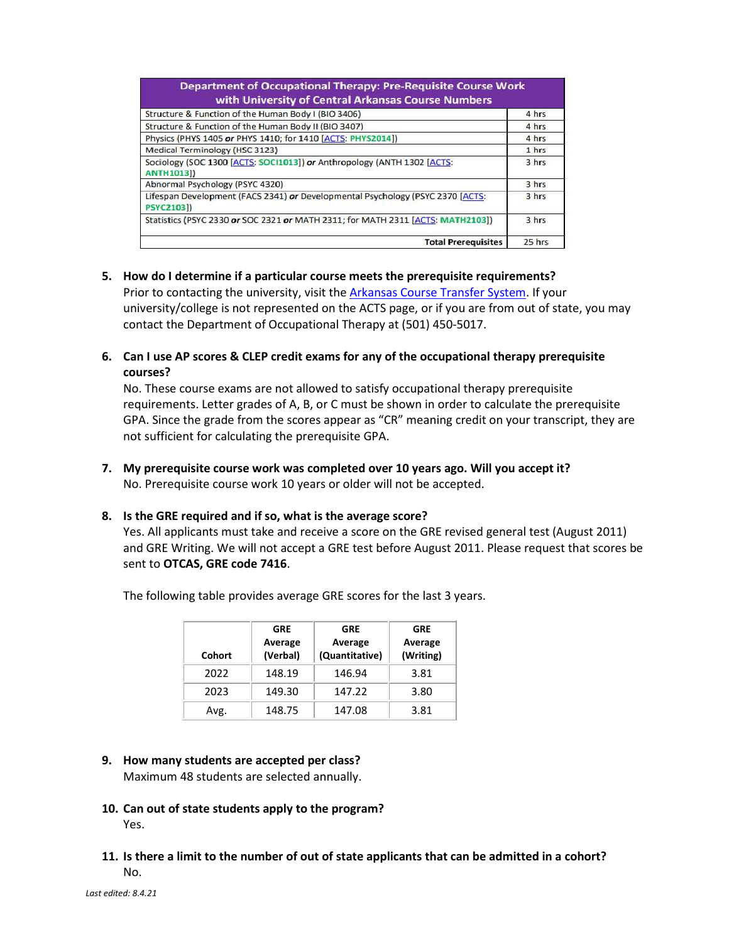| <b>Department of Occupational Therapy: Pre-Requisite Course Work</b><br>with University of Central Arkansas Course Numbers |        |  |
|----------------------------------------------------------------------------------------------------------------------------|--------|--|
| Structure & Function of the Human Body I (BIO 3406)                                                                        | 4 hrs  |  |
| Structure & Function of the Human Body II (BIO 3407)                                                                       | 4 hrs  |  |
| Physics (PHYS 1405 or PHYS 1410; for 1410 [ACTS: PHYS2014])                                                                | 4 hrs  |  |
| <b>Medical Terminology (HSC 3123)</b>                                                                                      | 1 hrs  |  |
| Sociology (SOC 1300 [ACTS: SOCI1013]) or Anthropology (ANTH 1302 [ACTS:<br><b>ANTH1013])</b>                               | 3 hrs  |  |
| Abnormal Psychology (PSYC 4320)                                                                                            | 3 hrs  |  |
| Lifespan Development (FACS 2341) or Developmental Psychology (PSYC 2370 [ACTS:<br><b>PSYC2103])</b>                        | 3 hrs  |  |
| Statistics (PSYC 2330 or SOC 2321 or MATH 2311; for MATH 2311 [ACTS: MATH2103])                                            | 3 hrs  |  |
| <b>Total Prerequisites</b>                                                                                                 | 25 hrs |  |

#### **5. How do I determine if a particular course meets the prerequisite requirements?**

Prior to contacting the university, visit the Arkansas Course Transfer System. If your university/college is not represented on the ACTS page, or if you are from out of state, you may contact the Department of Occupational Therapy at (501) 450-5017.

**6. Can I use AP scores & CLEP credit exams for any of the occupational therapy prerequisite courses?** 

No. These course exams are not allowed to satisfy occupational therapy prerequisite requirements. Letter grades of A, B, or C must be shown in order to calculate the prerequisite GPA. Since the grade from the scores appear as "CR" meaning credit on your transcript, they are not sufficient for calculating the prerequisite GPA.

**7. My prerequisite course work was completed over 10 years ago. Will you accept it?**  No. Prerequisite course work 10 years or older will not be accepted.

# **8. Is the GRE required and if so, what is the average score?**

Yes. All applicants must take and receive a score on the GRE revised general test (August 2011) and GRE Writing. We will not accept a GRE test before August 2011. Please request that scores be sent to **OTCAS, GRE code 7416**.

| Cohort | <b>GRE</b><br>Average<br>(Verbal) | <b>GRE</b><br>Average<br>(Quantitative) | <b>GRE</b><br>Average<br>(Writing) |
|--------|-----------------------------------|-----------------------------------------|------------------------------------|
| 2022   | 148.19                            | 146.94                                  | 3.81                               |
| 2023   | 149.30                            | 147.22                                  | 3.80                               |
| Avg.   | 148.75                            | 147.08                                  | 3.81                               |

The following table provides average GRE scores for the last 3 years.

# **9. How many students are accepted per class?**

Maximum 48 students are selected annually.

- **10. Can out of state students apply to the program?**  Yes.
- **11. Is there a limit to the number of out of state applicants that can be admitted in a cohort?**  No.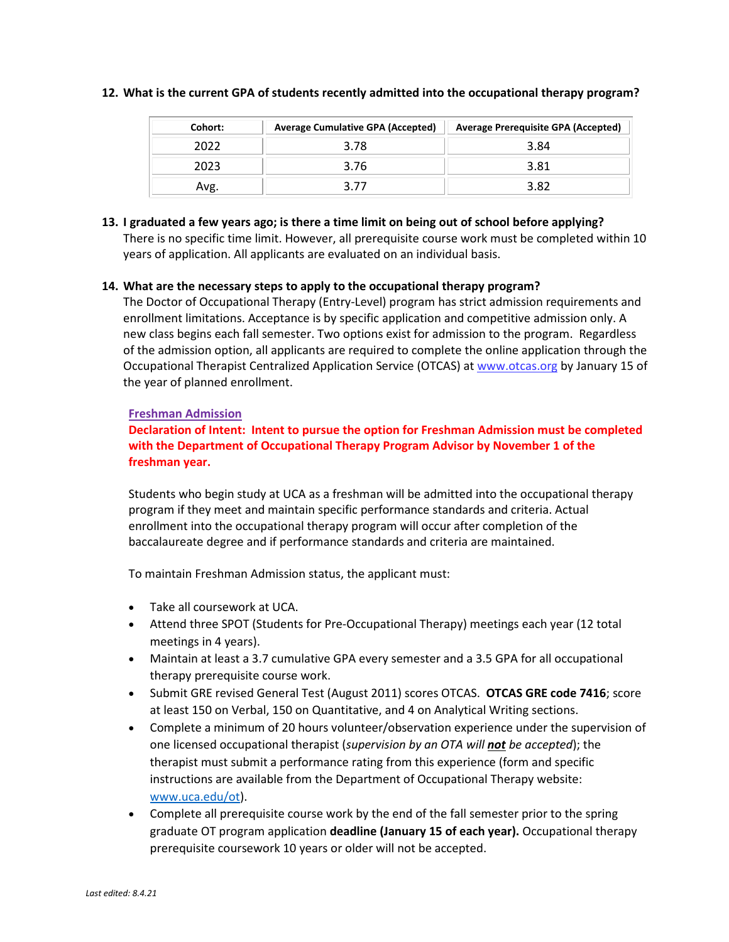| Cohort: | <b>Average Cumulative GPA (Accepted)</b> | <b>Average Prerequisite GPA (Accepted)</b> |
|---------|------------------------------------------|--------------------------------------------|
| 2022    | 3.78                                     | 3.84                                       |
| 2023    | 3.76                                     | 3.81                                       |
| Avg.    |                                          | 3.82                                       |

#### **12. What is the current GPA of students recently admitted into the occupational therapy program?**

# **13. I graduated a few years ago; is there a time limit on being out of school before applying?**

There is no specific time limit. However, all prerequisite course work must be completed within 10 years of application. All applicants are evaluated on an individual basis.

# **14. What are the necessary steps to apply to the occupational therapy program?**

The Doctor of Occupational Therapy (Entry-Level) program has strict admission requirements and enrollment limitations. Acceptance is by specific application and competitive admission only. A new class begins each fall semester. Two options exist for admission to the program. Regardless of the admission option, all applicants are required to complete the online application through the Occupational Therapist Centralized Application Service (OTCAS) at www.otcas.org by January 15 of the year of planned enrollment.

# **Freshman Admission**

# **Declaration of Intent: Intent to pursue the option for Freshman Admission must be completed with the Department of Occupational Therapy Program Advisor by November 1 of the freshman year.**

Students who begin study at UCA as a freshman will be admitted into the occupational therapy program if they meet and maintain specific performance standards and criteria. Actual enrollment into the occupational therapy program will occur after completion of the baccalaureate degree and if performance standards and criteria are maintained.

To maintain Freshman Admission status, the applicant must:

- Take all coursework at UCA.
- Attend three SPOT (Students for Pre-Occupational Therapy) meetings each year (12 total meetings in 4 years).
- Maintain at least a 3.7 cumulative GPA every semester and a 3.5 GPA for all occupational therapy prerequisite course work.
- Submit GRE revised General Test (August 2011) scores OTCAS. **OTCAS GRE code 7416**; score at least 150 on Verbal, 150 on Quantitative, and 4 on Analytical Writing sections.
- Complete a minimum of 20 hours volunteer/observation experience under the supervision of one licensed occupational therapist (*supervision by an OTA will not be accepted*); the therapist must submit a performance rating from this experience (form and specific instructions are available from the Department of Occupational Therapy website: www.uca.edu/ot).
- Complete all prerequisite course work by the end of the fall semester prior to the spring graduate OT program application **deadline (January 15 of each year).** Occupational therapy prerequisite coursework 10 years or older will not be accepted.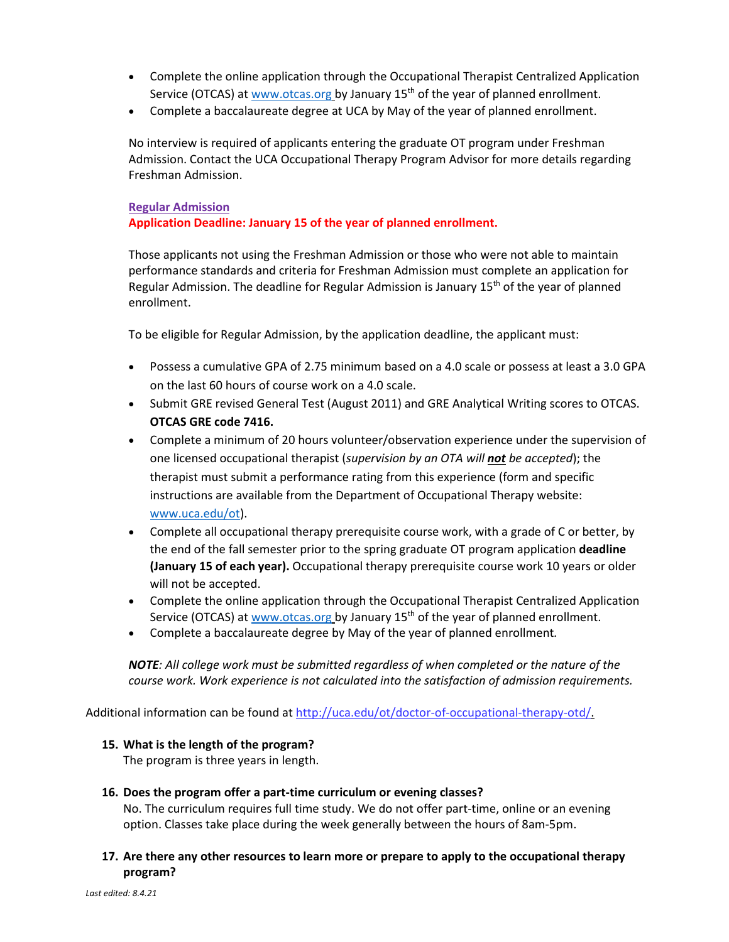- Complete the online application through the Occupational Therapist Centralized Application Service (OTCAS) at www.otcas.org by January 15th of the year of planned enrollment.
- Complete a baccalaureate degree at UCA by May of the year of planned enrollment.

No interview is required of applicants entering the graduate OT program under Freshman Admission. Contact the UCA Occupational Therapy Program Advisor for more details regarding Freshman Admission.

#### **Regular Admission**

### **Application Deadline: January 15 of the year of planned enrollment.**

Those applicants not using the Freshman Admission or those who were not able to maintain performance standards and criteria for Freshman Admission must complete an application for Regular Admission. The deadline for Regular Admission is January  $15<sup>th</sup>$  of the year of planned enrollment.

To be eligible for Regular Admission, by the application deadline, the applicant must:

- Possess a cumulative GPA of 2.75 minimum based on a 4.0 scale or possess at least a 3.0 GPA on the last 60 hours of course work on a 4.0 scale.
- Submit GRE revised General Test (August 2011) and GRE Analytical Writing scores to OTCAS. **OTCAS GRE code 7416.**
- Complete a minimum of 20 hours volunteer/observation experience under the supervision of one licensed occupational therapist (*supervision by an OTA will not be accepted*); the therapist must submit a performance rating from this experience (form and specific instructions are available from the Department of Occupational Therapy website: www.uca.edu/ot).
- Complete all occupational therapy prerequisite course work, with a grade of C or better, by the end of the fall semester prior to the spring graduate OT program application **deadline (January 15 of each year).** Occupational therapy prerequisite course work 10 years or older will not be accepted.
- Complete the online application through the Occupational Therapist Centralized Application Service (OTCAS) at www.otcas.org by January 15<sup>th</sup> of the year of planned enrollment.
- Complete a baccalaureate degree by May of the year of planned enrollment*.*

*NOTE: All college work must be submitted regardless of when completed or the nature of the course work. Work experience is not calculated into the satisfaction of admission requirements.*

Additional information can be found at http://uca.edu/ot/doctor-of-occupational-therapy-otd/.

#### **15. What is the length of the program?**

The program is three years in length.

#### **16. Does the program offer a part-time curriculum or evening classes?**

No. The curriculum requires full time study. We do not offer part-time, online or an evening option. Classes take place during the week generally between the hours of 8am-5pm.

# **17. Are there any other resources to learn more or prepare to apply to the occupational therapy program?**